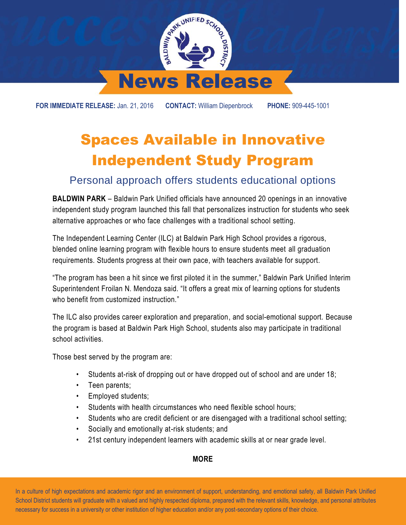

**FOR IMMEDIATE RELEASE:** Jan. 21, 2016 **CONTACT:** William Diepenbrock **PHONE:** 909-445-1001

## Spaces Available in Innovative Independent Study Program

## Personal approach offers students educational options

**BALDWIN PARK** – Baldwin Park Unified officials have announced 20 openings in an innovative independent study program launched this fall that personalizes instruction for students who seek alternative approaches or who face challenges with a traditional school setting.

The Independent Learning Center (ILC) at Baldwin Park High School provides a rigorous, blended online learning program with flexible hours to ensure students meet all graduation requirements. Students progress at their own pace, with teachers available for support.

"The program has been a hit since we first piloted it in the summer," Baldwin Park Unified Interim Superintendent Froilan N. Mendoza said. "It offers a great mix of learning options for students who benefit from customized instruction."

The ILC also provides career exploration and preparation, and social-emotional support. Because the program is based at Baldwin Park High School, students also may participate in traditional school activities.

Those best served by the program are:

- Students at-risk of dropping out or have dropped out of school and are under 18;
- Teen parents;
- Employed students;
- Students with health circumstances who need flexible school hours:
- Students who are credit deficient or are disengaged with a traditional school setting;
- Socially and emotionally at-risk students; and
- 21st century independent learners with academic skills at or near grade level.

## **MORE**

 In a culture of high expectations and academic rigor and an environment of support, understanding, and emotional safety, all Baldwin Park Unified School District students will graduate with a valued and highly respected diploma, prepared with the relevant skills, knowledge, and personal attributes necessary for success in a university or other institution of higher education and/or any post-secondary options of their choice.